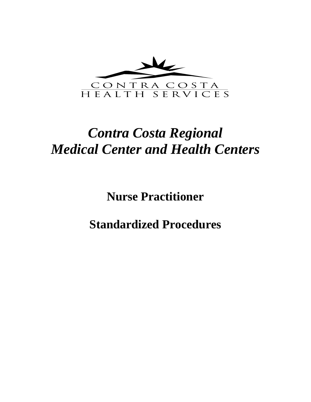

# *Contra Costa Regional Medical Center and Health Centers*

**Nurse Practitioner** 

**Standardized Procedures**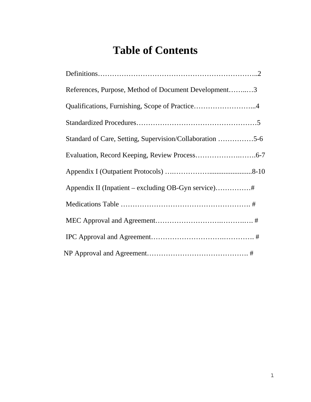## **Table of Contents**

| References, Purpose, Method of Document Development3     |
|----------------------------------------------------------|
| Qualifications, Furnishing, Scope of Practice4           |
|                                                          |
| Standard of Care, Setting, Supervision/Collaboration 5-6 |
|                                                          |
|                                                          |
|                                                          |
|                                                          |
|                                                          |
|                                                          |
|                                                          |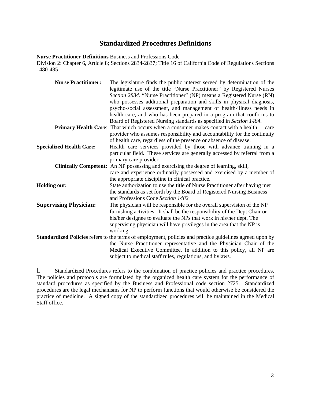#### **Standardized Procedures Definitions**

**Nurse Practitioner Definitions** Business and Professions Code

Division 2: Chapter 6, Article 8; Sections 2834-2837; Title 16 of California Code of Regulations Sections 1480-485

| <b>Nurse Practitioner:</b>      | The legislature finds the public interest served by determination of the<br>legitimate use of the title "Nurse Practitioner" by Registered Nurses |
|---------------------------------|---------------------------------------------------------------------------------------------------------------------------------------------------|
|                                 | Section 2834. "Nurse Practitioner" (NP) means a Registered Nurse (RN)                                                                             |
|                                 | who possesses additional preparation and skills in physical diagnosis,                                                                            |
|                                 | psycho-social assessment, and management of health-illness needs in                                                                               |
|                                 | health care, and who has been prepared in a program that conforms to                                                                              |
|                                 | Board of Registered Nursing standards as specified in Section 1484.                                                                               |
|                                 | Primary Health Care: That which occurs when a consumer makes contact with a health<br>care                                                        |
|                                 |                                                                                                                                                   |
|                                 | provider who assumes responsibility and accountability for the continuity                                                                         |
|                                 | of health care, regardless of the presence or absence of disease.                                                                                 |
| <b>Specialized Health Care:</b> | Health care services provided by those with advance training in a                                                                                 |
|                                 | particular field. These services are generally accessed by referral from a                                                                        |
|                                 | primary care provider.                                                                                                                            |
|                                 | <b>Clinically Competent:</b> An NP possessing and exercising the degree of learning, skill,                                                       |
|                                 | care and experience ordinarily possessed and exercised by a member of                                                                             |
|                                 | the appropriate discipline in clinical practice.                                                                                                  |
| <b>Holding out:</b>             | State authorization to use the title of Nurse Practitioner after having met                                                                       |
|                                 | the standards as set forth by the Board of Registered Nursing Business                                                                            |
|                                 | and Professions Code Section 1482                                                                                                                 |
| <b>Supervising Physician:</b>   | The physician will be responsible for the overall supervision of the NP                                                                           |
|                                 | furnishing activities. It shall be the responsibility of the Dept Chair or                                                                        |
|                                 | his/her designee to evaluate the NPs that work in his/her dept. The                                                                               |
|                                 | supervising physician will have privileges in the area that the NP is                                                                             |
|                                 | working.                                                                                                                                          |
|                                 | <b>Standardized Policies</b> refers to the terms of employment, policies and practice guidelines agreed upon by                                   |
|                                 | the Nurse Practitioner representative and the Physician Chair of the                                                                              |
|                                 | Medical Executive Committee. In addition to this policy, all NP are                                                                               |
|                                 | subject to medical staff rules, regulations, and bylaws.                                                                                          |
|                                 |                                                                                                                                                   |

I. Standardized Procedures refers to the combination of practice policies and practice procedures. The policies and protocols are formulated by the organized health care system for the performance of standard procedures as specified by the Business and Professional code section 2725. Standardized procedures are the legal mechanisms for NP to perform functions that would otherwise be considered the practice of medicine. A signed copy of the standardized procedures will be maintained in the Medical Staff office.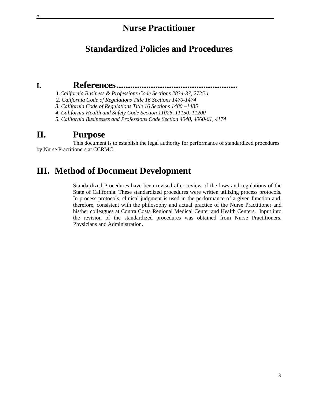## **Nurse Practitioner**

## **Standardized Policies and Procedures**

3

### **I. References .....................................................**

1.*California Business & Professions Code Sections 2834-37, 2725.1* 

2. *California Code of Regulations Title 16 Sections 1470-1474* 

 *3. California Code of Regulations Title 16 Sections 1480 –1485* 

 *4. California Health and Safety Code Section 11026, 11150, 11200* 

 *5. California Businesses and Professions Code Section 4040, 4060-61, 4174* 

## **II. Purpose**

This document is to establish the legal authority for performance of standardized procedures by Nurse Practitioners at CCRMC.

## **III. Method of Document Development**

 Standardized Procedures have been revised after review of the laws and regulations of the State of California. These standardized procedures were written utilizing process protocols. In process protocols, clinical judgment is used in the performance of a given function and, therefore, consistent with the philosophy and actual practice of the Nurse Practitioner and his/her colleagues at Contra Costa Regional Medical Center and Health Centers. Input into the revision of the standardized procedures was obtained from Nurse Practitioners, Physicians and Administration.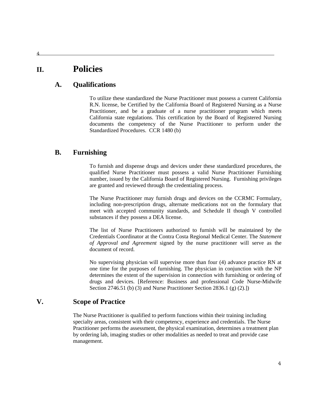## **II. Policies**

#### **A. Qualifications**

To utilize these standardized the Nurse Practitioner must possess a current California R.N. license, be Certified by the California Board of Registered Nursing as a Nurse Practitioner, and be a graduate of a nurse practitioner program which meets California state regulations. This certification by the Board of Registered Nursing documents the competency of the Nurse Practitioner to perform under the Standardized Procedures. CCR 1480 (b)

#### **B. Furnishing**

 To furnish and dispense drugs and devices under these standardized procedures, the qualified Nurse Practitioner must possess a valid Nurse Practitioner Furnishing number, issued by the California Board of Registered Nursing. Furnishing privileges are granted and reviewed through the credentialing process.

 The Nurse Practitioner may furnish drugs and devices on the CCRMC Formulary, including non-prescription drugs, alternate medications not on the formulary that meet with accepted community standards, and Schedule II though V controlled substances if they possess a DEA license.

 The list of Nurse Practitioners authorized to furnish will be maintained by the Credentials Coordinator at the Contra Costa Regional Medical Center. The *Statement of Approval and Agreement* signed by the nurse practitioner will serve as the document of record.

 No supervising physician will supervise more than four (4) advance practice RN at one time for the purposes of furnishing. The physician in conjunction with the NP determines the extent of the supervision in connection with furnishing or ordering of drugs and devices. [Reference: Business and professional Code Nurse-Midwife Section 2746.51 (b) (3) and Nurse Practitioner Section 2836.1 (g) (2).])

#### **V. Scope of Practice**

The Nurse Practitioner is qualified to perform functions within their training including specialty areas, consistent with their competency, experience and credentials. The Nurse Practitioner performs the assessment, the physical examination, determines a treatment plan by ordering lab, imaging studies or other modalities as needed to treat and provide case management.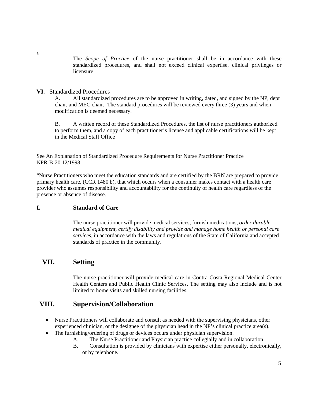The *Scope of Practice* of the nurse practitioner shall be in accordance with these standardized procedures, and shall not exceed clinical expertise, clinical privileges or licensure.

#### **VI.** Standardized Procedures

A. All standardized procedures are to be approved in writing, dated, and signed by the NP, dept chair, and MEC chair. The standard procedures will be reviewed every three (3) years and when modification is deemed necessary.

B. A written record of these Standardized Procedures, the list of nurse practitioners authorized to perform them, and a copy of each practitioner's license and applicable certifications will be kept in the Medical Staff Office

See An Explanation of Standardized Procedure Requirements for Nurse Practitioner Practice NPR-B-20 12/1998.

"Nurse Practitioners who meet the education standards and are certified by the BRN are prepared to provide primary health care, (CCR 1480 b), that which occurs when a consumer makes contact with a health care provider who assumes responsibility and accountability for the continuity of health care regardless of the presence or absence of disease.

#### **I. Standard of Care**

The nurse practitioner will provide medical services, furnish medications, *order durable medical equipment, certify disability and provide and manage home health or personal care services,* in accordance with the laws and regulations of the State of California and accepted standards of practice in the community.

### **VII. Setting**

 The nurse practitioner will provide medical care in Contra Costa Regional Medical Center Health Centers and Public Health Clinic Services. The setting may also include and is not limited to home visits and skilled nursing facilities.

#### **VIII. Supervision/Collaboration**

- Nurse Practitioners will collaborate and consult as needed with the supervising physicians, other experienced clinician, or the designee of the physician head in the NP's clinical practice area(s).
	- The furnishing/ordering of drugs or devices occurs under physician supervision.
		- A. The Nurse Practitioner and Physician practice collegially and in collaboration
		- B. Consultation is provided by clinicians with expertise either personally, electronically, or by telephone.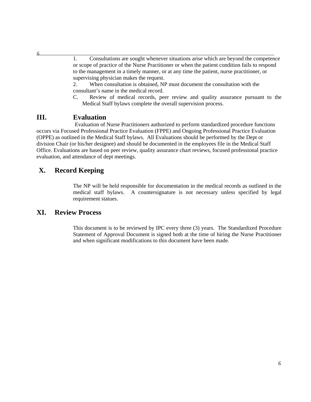1. Consultations are sought whenever situations arise which are beyond the competence or scope of practice of the Nurse Practitioner or when the patient condition fails to respond to the management in a timely manner, or at any time the patient, nurse practitioner, or supervising physician makes the request.

2. When consultation is obtained, NP must document the consultation with the consultant's name in the medical record.

C. Review of medical records, peer review and quality assurance pursuant to the Medical Staff bylaws complete the overall supervision process.

#### **III. Evaluation**

Evaluation of Nurse Practitioners authorized to perform standardized procedure functions occurs via Focused Professional Practice Evaluation (FPPE) and Ongoing Professional Practice Evaluation (OPPE) as outlined in the Medical Staff bylaws. All Evaluations should be performed by the Dept or division Chair (or his/her designee) and should be documented in the employees file in the Medical Staff Office. Evaluations are based on peer review, quality assurance chart reviews, focused professional practice evaluation, and attendance of dept meetings.

### **X. Record Keeping**

 The NP will be held responsible for documentation in the medical records as outlined in the medical staff bylaws. A countersignature is not necessary unless specified by legal requirement statues.

#### **XI. Review Process**

 This document is to be reviewed by IPC every three (3) years. The Standardized Procedure Statement of Approval Document is signed both at the time of hiring the Nurse Practitioner and when significant modifications to this document have been made.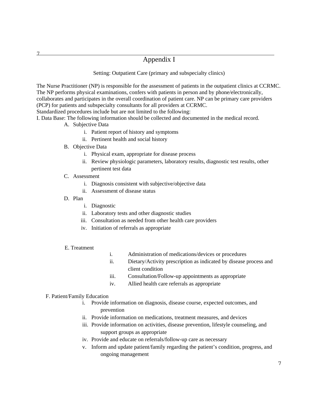#### Appendix I

#### Setting: Outpatient Care (primary and subspecialty clinics)

The Nurse Practitioner (NP) is responsible for the assessment of patients in the outpatient clinics at CCRMC. The NP performs physical examinations, confers with patients in person and by phone/electronically, collaborates and participates in the overall coordination of patient care. NP can be primary care providers (PCP) for patients and subspecialty consultants for all providers at CCRMC.

Standardized procedures include but are not limited to the following:

I. Data Base: The following information should be collected and documented in the medical record.

- A. Subjective Data
	- i. Patient report of history and symptoms
	- ii. Pertinent health and social history
- B. Objective Data
	- i. Physical exam, appropriate for disease process
	- ii. Review physiologic parameters, laboratory results, diagnostic test results, other pertinent test data
- C. Assessment
	- i. Diagnosis consistent with subjective/objective data
	- ii. Assessment of disease status
- D. Plan
	- i. Diagnostic
	- ii. Laboratory tests and other diagnostic studies
	- iii. Consultation as needed from other health care providers
	- iv. Initiation of referrals as appropriate

#### E. Treatment

- i. Administration of medications/devices or procedures
- ii. Dietary/Activity prescription as indicated by disease process and client condition
- iii. Consultation/Follow-up appointments as appropriate
- iv. Allied health care referrals as appropriate

#### F. Patient/Family Education

- i. Provide information on diagnosis, disease course, expected outcomes, and prevention
- ii. Provide information on medications, treatment measures, and devices
- iii. Provide information on activities, disease prevention, lifestyle counseling, and support groups as appropriate
- iv. Provide and educate on referrals/follow-up care as necessary
- v. Inform and update patient/family regarding the patient's condition, progress, and ongoing management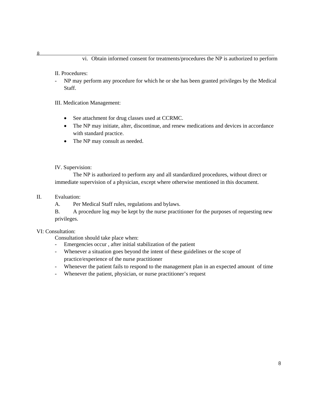#### vi. Obtain informed consent for treatments/procedures the NP is authorized to perform

II. Procedures:

- NP may perform any procedure for which he or she has been granted privileges by the Medical Staff.

III. Medication Management:

- See attachment for drug classes used at CCRMC.
- The NP may initiate, alter, discontinue, and renew medications and devices in accordance with standard practice.
- The NP may consult as needed.

IV. Supervision:

The NP is authorized to perform any and all standardized procedures, without direct or immediate supervision of a physician, except where otherwise mentioned in this document.

#### II. Evaluation:

A. Per Medical Staff rules, regulations and bylaws.

B. A procedure log *may* be kept by the nurse practitioner for the purposes of requesting new privileges.

#### VI: Consultation:

Consultation should take place when:

- Emergencies occur , after initial stabilization of the patient
- Whenever a situation goes beyond the intent of these guidelines or the scope of practice/experience of the nurse practitioner
- Whenever the patient fails to respond to the management plan in an expected amount of time
- Whenever the patient, physician, or nurse practitioner's request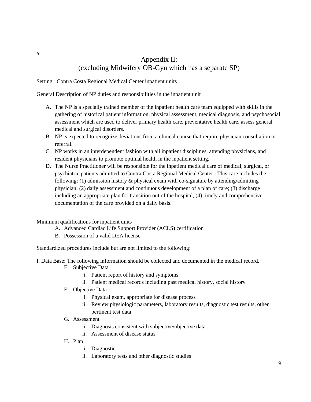### Appendix II: (excluding Midwifery OB-Gyn which has a separate SP)

Setting: Contra Costa Regional Medical Center inpatient units

9

General Description of NP duties and responsibilities in the inpatient unit

- A. The NP is a specially trained member of the inpatient health care team equipped with skills in the gathering of historical patient information, physical assessment, medical diagnosis, and psychosocial assessment which are used to deliver primary health care, preventative health care, assess general medical and surgical disorders.
- B. NP is expected to recognize deviations from a clinical course that require physician consultation or referral.
- C. NP works in an interdependent fashion with all inpatient disciplines, attending physicians, and resident physicians to promote optimal health in the inpatient setting.
- D. The Nurse Practitioner will be responsible for the inpatient medical care of medical, surgical, or psychiatric patients admitted to Contra Costa Regional Medical Center. This care includes the following: (1) admission history  $\&$  physical exam with co-signature by attending/admitting physician; (2) daily assessment and continuous development of a plan of care; (3) discharge including an appropriate plan for transition out of the hospital, (4) timely and comprehensive documentation of the care provided on a daily basis.

Minimum qualifications for inpatient units

- A. Advanced Cardiac Life Support Provider (ACLS) certification
- B. Possession of a valid DEA license

Standardized procedures include but are not limited to the following:

I. Data Base: The following information should be collected and documented in the medical record.

- E. Subjective Data
	- i. Patient report of history and symptoms
	- ii. Patient medical records including past medical history, social history
- F. Objective Data
	- i. Physical exam, appropriate for disease process
	- ii. Review physiologic parameters, laboratory results, diagnostic test results, other pertinent test data
- G. Assessment
	- i. Diagnosis consistent with subjective/objective data
	- ii. Assessment of disease status
- H. Plan
	- i. Diagnostic
	- ii. Laboratory tests and other diagnostic studies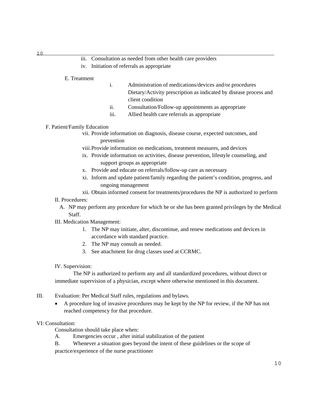#### iii. Consultation as needed from other health care providers

iv. Initiation of referrals as appropriate

#### E. Treatment

- i. Administration of medications/devices and/or procedures Dietary/Activity prescription as indicated by disease process and client condition
- ii. Consultation/Follow-up appointments as appropriate
- iii. Allied health care referrals as appropriate

#### F. Patient/Family Education

- vii. Provide information on diagnosis, disease course, expected outcomes, and prevention
- viii.Provide information on medications, treatment measures, and devices
- ix. Provide information on activities, disease prevention, lifestyle counseling, and support groups as appropriate
- x. Provide and educate on referrals/follow-up care as necessary
- xi. Inform and update patient/family regarding the patient's condition, progress, and ongoing management
- xii. Obtain informed consent for treatments/procedures the NP is authorized to perform

#### II. Procedures:

A. NP may perform any procedure for which he or she has been granted privileges by the Medical Staff.

#### III. Medication Management:

- 1. The NP may initiate, alter, discontinue, and renew medications and devices in accordance with standard practice.
- 2. The NP may consult as needed.
- 3. See attachment for drug classes used at CCRMC.

#### IV. Supervision:

The NP is authorized to perform any and all standardized procedures, without direct or immediate supervision of a physician, except where otherwise mentioned in this document.

- III. Evaluation: Per Medical Staff rules, regulations and bylaws.
	- A procedure log of invasive procedures may be kept by the NP for review, if the NP has not reached competency for that procedure.

#### VI: Consultation:

Consultation should take place when:

- A. Emergencies occur , after initial stabilization of the patient
- B. Whenever a situation goes beyond the intent of these guidelines or the scope of

practice/experience of the nurse practitioner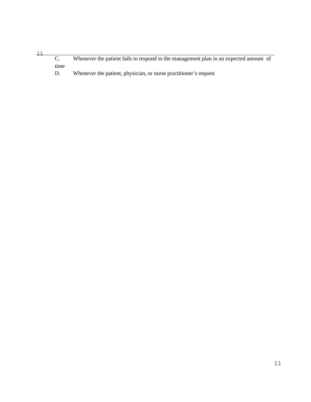#### 11 C. Whenever the patient fails to respond to the management plan in an expected amount of time

D. Whenever the patient, physician, or nurse practitioner's request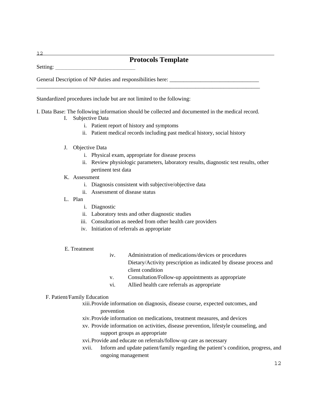### **Protocols Template**

Setting:

General Description of NP duties and responsibilities here: \_\_\_\_\_\_\_\_\_\_\_\_\_\_\_\_\_\_\_\_\_

Standardized procedures include but are not limited to the following:

I. Data Base: The following information should be collected and documented in the medical record.

\_\_\_\_\_\_\_\_\_\_\_\_\_\_\_\_\_\_\_\_\_\_\_\_\_\_\_\_\_\_\_\_\_\_\_\_\_\_\_\_\_\_\_\_\_\_\_\_\_\_\_\_\_\_\_\_\_\_\_\_\_\_\_\_\_\_\_\_\_\_\_\_\_\_\_\_\_\_\_\_

- I. Subjective Data
	- i. Patient report of history and symptoms
	- ii. Patient medical records including past medical history, social history
- J. Objective Data
	- i. Physical exam, appropriate for disease process
	- ii. Review physiologic parameters, laboratory results, diagnostic test results, other pertinent test data
- K. Assessment
	- i. Diagnosis consistent with subjective/objective data
	- ii. Assessment of disease status
- L. Plan
	- i. Diagnostic
	- ii. Laboratory tests and other diagnostic studies
	- iii. Consultation as needed from other health care providers
	- iv. Initiation of referrals as appropriate
- E. Treatment

| iv. | Administration of medications/devices or procedures               |
|-----|-------------------------------------------------------------------|
|     | Dietary/Activity prescription as indicated by disease process and |
|     | client condition                                                  |

- v. Consultation/Follow-up appointments as appropriate
- vi. Allied health care referrals as appropriate

#### F. Patient/Family Education

xiii.Provide information on diagnosis, disease course, expected outcomes, and prevention

- xiv.Provide information on medications, treatment measures, and devices
- xv. Provide information on activities, disease prevention, lifestyle counseling, and support groups as appropriate
- xvi.Provide and educate on referrals/follow-up care as necessary
- xvii. Inform and update patient/family regarding the patient's condition, progress, and ongoing management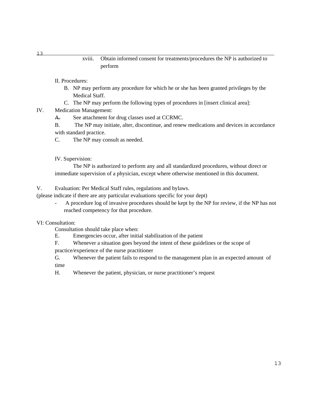#### xviii. Obtain informed consent for treatments/procedures the NP is authorized to perform

#### II. Procedures:

- B. NP may perform any procedure for which he or she has been granted privileges by the Medical Staff.
- C. The NP may perform the following types of procedures in [insert clinical area]:

IV. Medication Management:

A. See attachment for drug classes used at CCRMC.

B. The NP may initiate, alter, discontinue, and renew medications and devices in accordance with standard practice.

C. The NP may consult as needed.

#### IV. Supervision:

The NP is authorized to perform any and all standardized procedures, without direct or immediate supervision of a physician, except where otherwise mentioned in this document.

V. Evaluation: Per Medical Staff rules, regulations and bylaws.

(please indicate if there are any particular evaluations specific for your dept)

- A procedure log of invasive procedures should be kept by the NP for review, if the NP has not reached competency for that procedure.

#### VI: Consultation:

Consultation should take place when:

- E. Emergencies occur, after initial stabilization of the patient
- F. Whenever a situation goes beyond the intent of these guidelines or the scope of

practice/experience of the nurse practitioner

- G. Whenever the patient fails to respond to the management plan in an expected amount of time
- H. Whenever the patient, physician, or nurse practitioner's request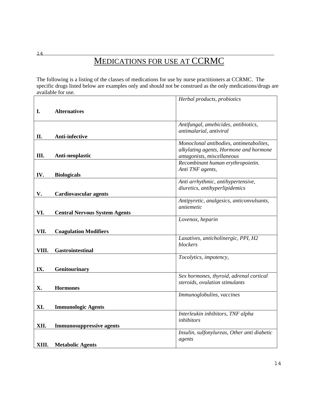## MEDICATIONS FOR USE AT CCRMC

The following is a listing of the classes of medications for use by nurse practitioners at CCRMC. The specific drugs listed below are examples only and should not be construed as the only medications/drugs are available for use.

|       |                                      | Herbal products, probiotics                                          |
|-------|--------------------------------------|----------------------------------------------------------------------|
|       |                                      |                                                                      |
| I.    | <b>Alternatives</b>                  |                                                                      |
|       |                                      | Antifungal, amebicides, antibiotics,                                 |
|       |                                      | antimalarial, antiviral                                              |
| II.   | Anti-infective                       |                                                                      |
|       |                                      | Monoclonal antibodies, antimetabolites,                              |
|       |                                      | alkylating agents, Hormone and hormone                               |
| III.  | Anti-neoplastic                      | antagonists, miscellaneous                                           |
|       |                                      | Recombinant human erythropoietin.                                    |
|       |                                      | Anti TNF agents,                                                     |
| IV.   | <b>Biologicals</b>                   |                                                                      |
|       |                                      | Anti arrhythmic, antihypertensive,<br>diuretics, antihyperlipidemics |
| V.    | <b>Cardiovascular agents</b>         |                                                                      |
|       |                                      | Antipyretic, analgesics, anticonvulsants,                            |
|       |                                      | antiemetic                                                           |
| VI.   | <b>Central Nervous System Agents</b> |                                                                      |
|       |                                      | Lovenox, heparin                                                     |
|       |                                      |                                                                      |
| VII.  | <b>Coagulation Modifiers</b>         |                                                                      |
|       |                                      | Laxatives, anticholinergic, PPI, H2<br>blockers                      |
| VIII. | Gastrointestinal                     |                                                                      |
|       |                                      | Tocolytics, impotency,                                               |
|       |                                      |                                                                      |
| IX.   | Genitourinary                        |                                                                      |
|       |                                      | Sex hormones, thyroid, adrenal cortical                              |
|       |                                      | steroids, ovulation stimulants                                       |
| X.    | <b>Hormones</b>                      |                                                                      |
|       |                                      | Immunoglobulins, vaccines                                            |
| XI.   | <b>Immunologic Agents</b>            |                                                                      |
|       |                                      | Interleukin inhibitors, TNF alpha                                    |
|       |                                      | inhibitors                                                           |
| XII.  | <b>Immunosuppressive agents</b>      |                                                                      |
|       |                                      | Insulin, sulfonylureas, Other anti diabetic                          |
|       |                                      | agents                                                               |
| XIII. | <b>Metabolic Agents</b>              |                                                                      |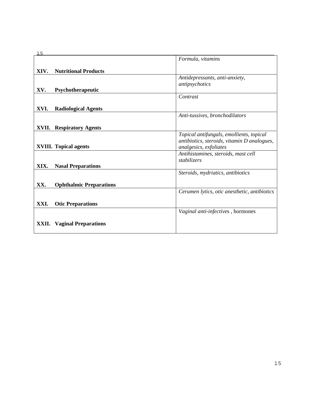|       |                                | Formula, vitamins                            |
|-------|--------------------------------|----------------------------------------------|
| XIV.  | <b>Nutritional Products</b>    |                                              |
|       |                                | Antidepressants, anti-anxiety,               |
| XV.   | Psychotherapeutic              | antipsychotics                               |
|       |                                | Contrast                                     |
|       |                                |                                              |
| XVI.  | <b>Radiological Agents</b>     |                                              |
|       |                                | Anti-tussives, bronchodilators               |
| XVII. | <b>Respiratory Agents</b>      |                                              |
|       |                                | Topical antifungals, emollients, topical     |
|       |                                | antibiotics, steroids, vitamin D analogues,  |
|       | <b>XVIII.</b> Topical agents   | analgesics, exfoliates                       |
|       |                                | Antihistamines, steroids, mast cell          |
|       |                                | stabilizers                                  |
| XIX.  | <b>Nasal Preparations</b>      |                                              |
|       |                                | Steroids, mydriatics, antibiotics            |
| XX.   | <b>Ophthalmic Preparations</b> |                                              |
|       |                                |                                              |
|       |                                | Cerumen lytics, otic anesthetic, antibiotics |
| XXI.  | <b>Otic Preparations</b>       |                                              |
|       |                                | Vaginal anti-infectives, hormones            |
| XXII. | <b>Vaginal Preparations</b>    |                                              |
|       |                                |                                              |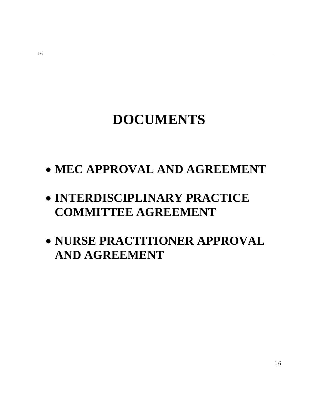## **DOCUMENTS**

## **MEC APPROVAL AND AGREEMENT**

## **INTERDISCIPLINARY PRACTICE COMMITTEE AGREEMENT**

## **NURSE PRACTITIONER APPROVAL AND AGREEMENT**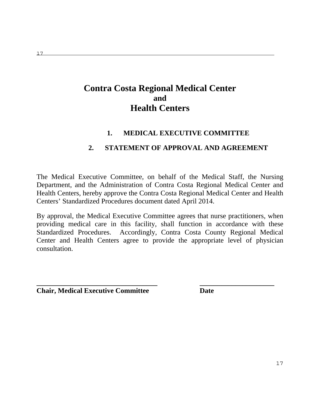## **Contra Costa Regional Medical Center and Health Centers**

## **1. MEDICAL EXECUTIVE COMMITTEE**

### **2. STATEMENT OF APPROVAL AND AGREEMENT**

The Medical Executive Committee, on behalf of the Medical Staff, the Nursing Department, and the Administration of Contra Costa Regional Medical Center and Health Centers, hereby approve the Contra Costa Regional Medical Center and Health Centers' Standardized Procedures document dated April 2014.

By approval, the Medical Executive Committee agrees that nurse practitioners, when providing medical care in this facility, shall function in accordance with these Standardized Procedures. Accordingly, Contra Costa County Regional Medical Center and Health Centers agree to provide the appropriate level of physician consultation.

**\_\_\_\_\_\_\_\_\_\_\_\_\_\_\_\_\_\_\_\_\_\_\_\_\_\_\_\_\_\_\_\_\_\_ \_\_\_\_\_\_\_\_\_\_\_\_\_\_\_\_\_\_\_\_\_** 

**Chair, Medical Executive Committee Date**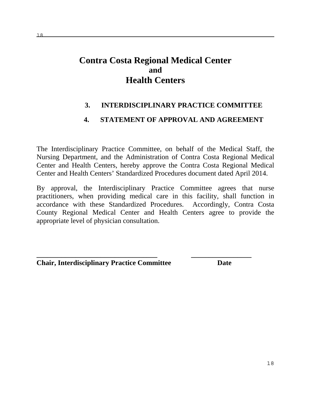## **Contra Costa Regional Medical Center and Health Centers**

## **3. INTERDISCIPLINARY PRACTICE COMMITTEE**

## **4. STATEMENT OF APPROVAL AND AGREEMENT**

The Interdisciplinary Practice Committee, on behalf of the Medical Staff, the Nursing Department, and the Administration of Contra Costa Regional Medical Center and Health Centers, hereby approve the Contra Costa Regional Medical Center and Health Centers' Standardized Procedures document dated April 2014.

By approval, the Interdisciplinary Practice Committee agrees that nurse practitioners, when providing medical care in this facility, shall function in accordance with these Standardized Procedures. Accordingly, Contra Costa County Regional Medical Center and Health Centers agree to provide the appropriate level of physician consultation.

**\_\_\_\_\_\_\_\_\_\_\_\_\_\_\_\_\_\_\_\_\_\_\_\_\_\_\_\_\_\_\_\_\_\_ \_\_\_\_\_\_\_\_\_\_\_\_\_\_\_\_\_** 

**Chair, Interdisciplinary Practice Committee Date**